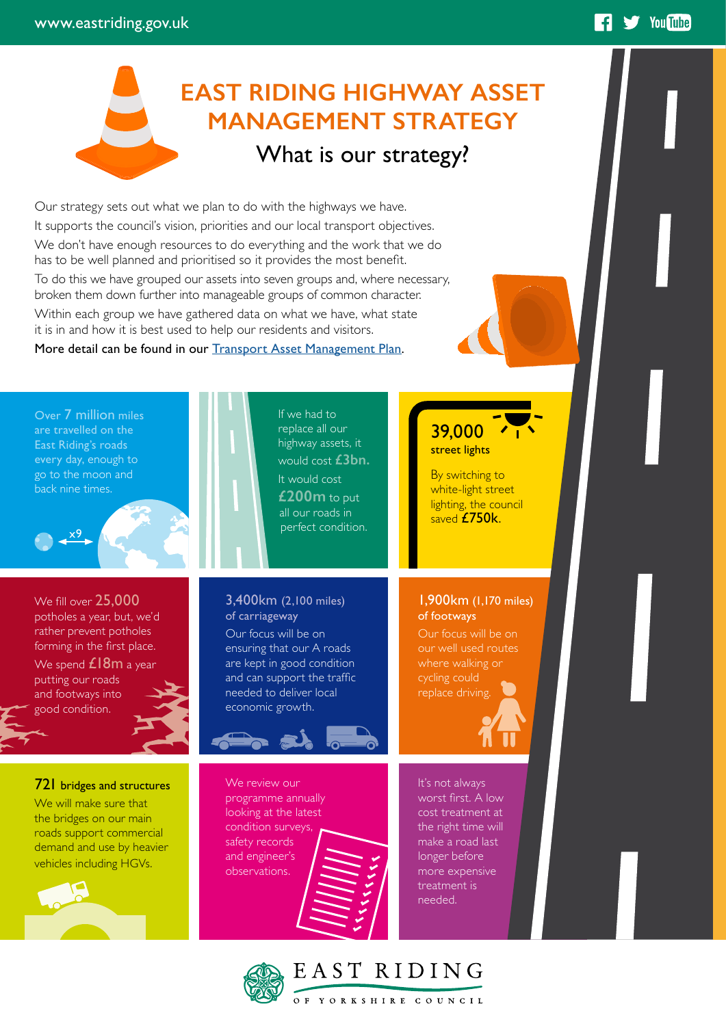## **EAST RIDING HIGHWAY ASSET MANAGEMENT STRATEGY** What is our strategy?

**14 Sy** YouTube

Our strategy sets out what we plan to do with the highways we have. It supports the council's vision, priorities and our local transport objectives. We don't have enough resources to do everything and the work that we do has to be well planned and prioritised so it provides the most benefit. To do this we have grouped our assets into seven groups and, where necessary, broken them down further into manageable groups of common character. Within each group we have gathered data on what we have, what state it is in and how it is best used to help our residents and visitors.

More detail can be found in our [Transport Asset Management Plan](https://www.eastriding.gov.uk/council/plans-and-policies/other-plans-and-policies-information/transport/transport-asset-management/).

Over 7 million miles are travelled on the East Riding's roads every day, enough to go to the moon and back nine times. If we had to replace all our highway assets, it would cost **£3bn.** It would cost **£200m** to put all our roads in perfect condition.  $39,000$   $\sqrt{1}$ street lights By switching to white-light street lighting, the council saved **£750k**. We fill over 25,000 potholes a year, but, we'd rather prevent potholes forming in the first place. We spend  $£18m$  a year putting our roads and footways into good condition. 3,400km (2,100 miles) of carriageway Our focus will be on ensuring that our A roads are kept in good condition and can support the traffic needed to deliver local economic growth. 1,900km (1,170 miles) of footways Our focus will be on our well used routes where walking or cycling could replace driving. It's not always worst first. A low cost treatment at the right time will make a road last longer before more expensive treatment is needed. We review our programme annually looking at the latest condition surveys, safety records and engineer's observations. 721 bridges and structures We will make sure that the bridges on our main roads support commercial demand and use by heavier vehicles including HGVs. x9

EAST RIDING

.<br>OF YORKSHIRE COUNCIL